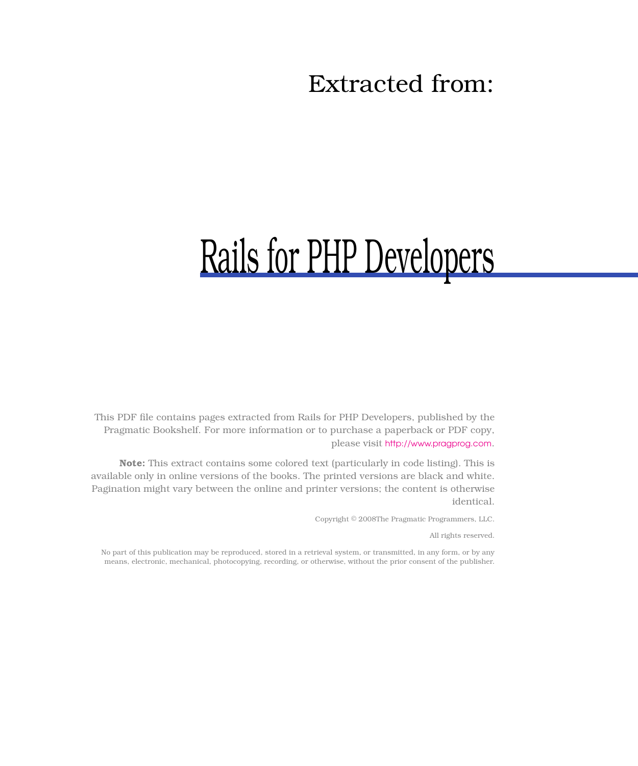## Extracted from:

# Rails for PHP Developers

This PDF file contains pages extracted from Rails for PHP Developers, published by the Pragmatic Bookshelf. For more information or to purchase a paperback or PDF copy, please visit <http://www.pragprog.com>.

**Note:** This extract contains some colored text (particularly in code listing). This is available only in online versions of the books. The printed versions are black and white. Pagination might vary between the online and printer versions; the content is otherwise identical.

Copyright © 2008The Pragmatic Programmers, LLC.

All rights reserved.

No part of this publication may be reproduced, stored in a retrieval system, or transmitted, in any form, or by any means, electronic, mechanical, photocopying, recording, or otherwise, without the prior consent of the publisher.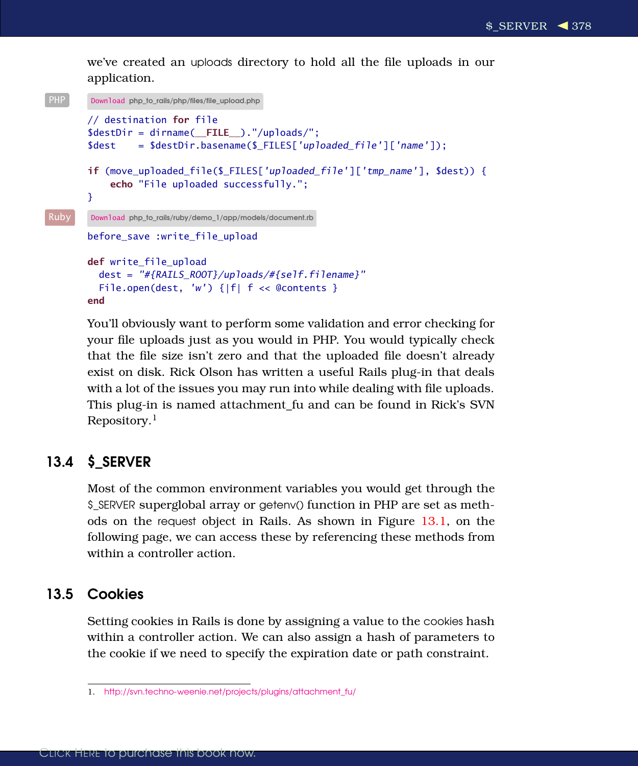we've created an uploads directory to hold all the file uploads in our application.

```
php_to_rails/php/files/file_upload.php
       // destination for file
       $destDir = dirname( FILE )."/uploads/";
        \deltadest = \deltadestDir.basename(\delta FILES['uploaded_file']['name']);
       if (move_uploaded_file($_FILES['uploaded_file']['tmp_name'], $dest)) {
            echo "File uploaded successfully.";
       }
Ruby Download php_to_rails/ruby/demo_1/app/models/document.rb
       before save : write file upload
       def write file upload
          dest = "#{RAILS_ROOT}/uploads/#{self.filename}"
          File.open(dest, 'w') {|f| f << @contents }
       end
```
You'll obviously want to perform some validation and error checking for your file uploads just as you would in PHP. You would typically check that the file size isn't zero and that the uploaded file doesn't already exist on disk. Rick Olson has written a useful Rails plug-in that deals with a lot of the issues you may run into while dealing with file uploads. This plug-in is named attachment\_fu and can be found in Rick's SVN Repository.<sup>1</sup>

## 13.4 \$\_SERVER

Most of the common environment variables you would get through the \$\_SERVER superglobal array or getenv() function in PHP are set as methods on the request object in Rails. As shown in Figure [13.1,](#page-2-0) on the following page, we can access these by referencing these methods from within a controller action.

## 13.5 Cookies

Setting cookies in Rails is done by assigning a value to the cookies hash within a controller action. We can also assign a hash of parameters to the cookie if we need to specify the expiration date or path constraint.

<sup>1.</sup> [http://svn.techno-weenie.net/projects/plugins/attachment\\_fu/](http://svn.techno-weenie.net/projects/plugins/attachment_fu/)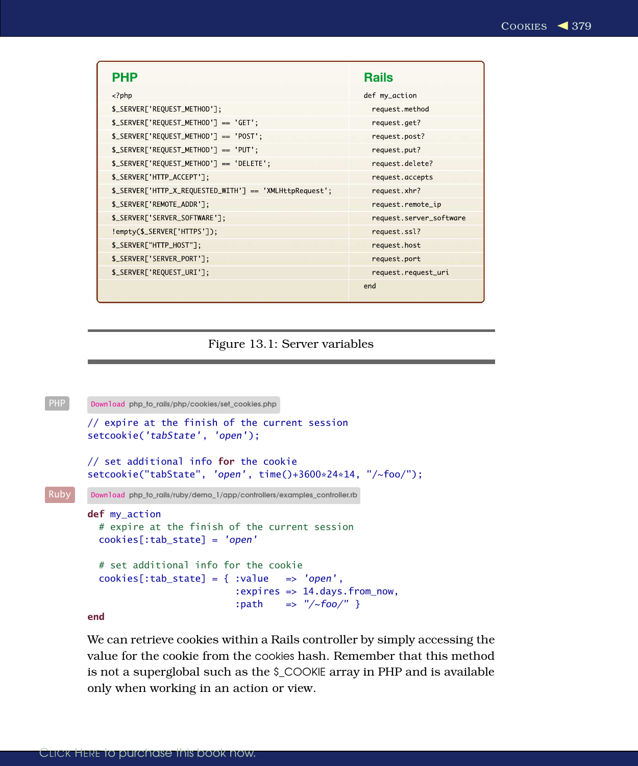| PHP                                                     | <b>Rails</b>            |
|---------------------------------------------------------|-------------------------|
| $<$ ?php                                                | def my_action           |
| \$_SERVER['REQUEST_METHOD'];                            | request.method          |
| \$_SERVER['REQUEST_METHOD'] == 'GET';                   | request.get?            |
| \$_SERVER['REQUEST_METHOD'] == 'POST';                  | request.post?           |
| \$_SERVER['REQUEST_METHOD'] == 'PUT';                   | request.put?            |
| $S\_SERVER['REQUEST_METHOD'] == 'DELETE';$              | request.delete?         |
| \$_SERVER['HTTP_ACCEPT'];                               | request.accepts         |
| \$_SERVER['HTTP_X_REQUESTED_WITH'] == 'XMLHttpRequest'; | request.xhr?            |
| \$_SERVER['REMOTE_ADDR'];                               | request.remote_ip       |
| \$_SERVER['SERVER_SOFTWARE'];                           | request.server_software |
| !empty(\$_SERVER['HTTPS']);                             | request.ssl?            |
| \$_SERVER["HTTP_HOST"];                                 | request.host            |
| \$_SERVER['SERVER_PORT'];                               | request.port            |
| \$_SERVER['REQUEST_URI'];                               | request.request_uri     |
|                                                         | end                     |

## <span id="page-2-0"></span>Figure 13.1: Server variables

```
PHP Download php_to_rails/php/cookies/set_cookies.php
        // expire at the finish of the current session
        setcookie('tabState', 'open');
        // set additional info for the cookie
        setcookie("tabState", 'open', time()+3600*24*14, "/~foo/");
Ruby Download php_to_rails/ruby/demo_1/app/controllers/examples_controller.rb
        def my_action
          # expire at the finish of the current session
          cookies[:tab_state] = 'open'
          # set additional info for the cookie
          cookies[:tab_state] = { :value => 'open',
                                    :expires => 14.days.from_now,
                                    :path \Rightarrow "/~foo/" }
```
end

We can retrieve cookies within a Rails controller by simply accessing the value for the cookie from the cookies hash. Remember that this method is not a superglobal such as the \$\_COOKIE array in PHP and is available only when working in an action or view.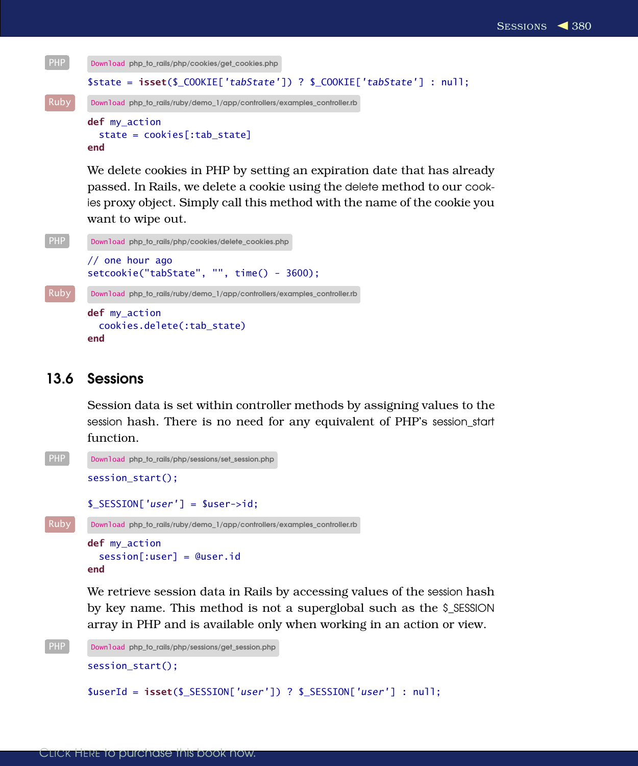```
php_to_rails/php/cookies/get_cookies.php
       $state = isset($_COOKIE['tabState']) ? $_COOKIE['tabState'] : null;
Ruby Download php_to_rails/ruby/demo_1/app/controllers/examples_controller.rb
       def my action
         state = cookies[:tab_state]
       end
```
We delete cookies in PHP by setting an expiration date that has already passed. In Rails, we delete a cookie using the delete method to our cookies proxy object. Simply call this method with the name of the cookie you want to wipe out.

```
php_to_rails/php/cookies/delete_cookies.php
        // one hour ago
        setcookie("tabState", "", time() - 3600);
Ruby Download php_to_rails/ruby/demo_1/app/controllers/examples_controller.rb
        def my_action
          cookies.delete(:tab_state)
        end
```
## 13.6 Sessions

Session data is set within controller methods by assigning values to the session hash. There is no need for any equivalent of PHP's session\_start function.

```
php_to_rails/php/sessions/set_session.php
        session_start();
        $_SESSION['user'] = $user->id;
Ruby Download php_to_rails/ruby/demo_1/app/controllers/examples_controller.rb
        def my_action
          session[:user] = @user.id
```
end

We retrieve session data in Rails by accessing values of the session hash by key name. This method is not a superglobal such as the \$\_SESSION array in PHP and is available only when working in an action or view.

```
php_to_rails/php/sessions/get_session.php
       session_start();
       $userId = isset($_SESSION['user']) ? $_SESSION['user'] : null;
```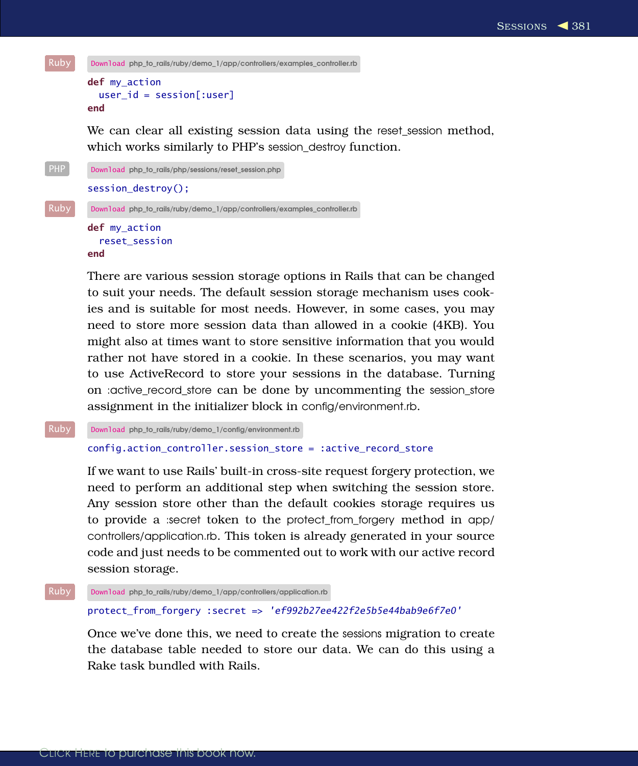

```
def my_action
 user_id = session[:user]
end
```
We can clear all existing session data using the reset\_session method, which works similarly to PHP's session\_destroy function.

```
PHP Download php_to_rails/php/sessions/reset_session.php
         session_destroy();
Ruby Download php_to_rails/ruby/demo_1/app/controllers/examples_controller.rb
         def my_action
           reset_session
         end
```
There are various session storage options in Rails that can be changed to suit your needs. The default session storage mechanism uses cookies and is suitable for most needs. However, in some cases, you may need to store more session data than allowed in a cookie (4KB). You might also at times want to store sensitive information that you would rather not have stored in a cookie. In these scenarios, you may want to use ActiveRecord to store your sessions in the database. Turning on :active\_record\_store can be done by uncommenting the session\_store assignment in the initializer block in config/environment.rb.

Ruby Download [php\\_to\\_rails/ruby/demo\\_1/config/environment.rb](http://media.pragprog.com/titles/ndphpr/code/php_to_rails/ruby/demo_1/config/environment.rb)

#### config.action\_controller.session\_store = :active\_record\_store

If we want to use Rails' built-in cross-site request forgery protection, we need to perform an additional step when switching the session store. Any session store other than the default cookies storage requires us to provide a :secret token to the protect\_from\_forgery method in app/ controllers/application.rb. This token is already generated in your source code and just needs to be commented out to work with our active record session storage.

```
Ruby Download php_to_rails/ruby/demo_1/app/controllers/application.rb
```
#### protect\_from\_forgery :secret => 'ef992b27ee422f2e5b5e44bab9e6f7e0'

Once we've done this, we need to create the sessions migration to create the database table needed to store our data. We can do this using a Rake task bundled with Rails.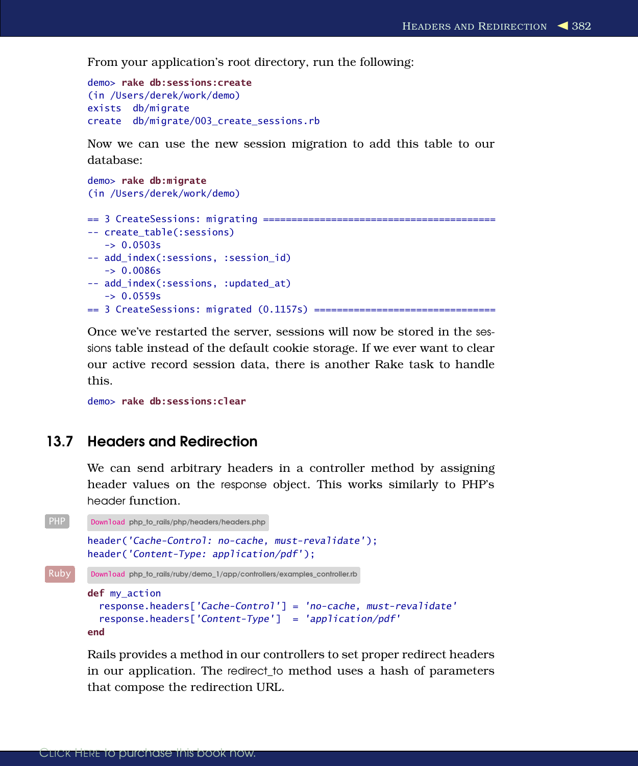From your application's root directory, run the following:

```
demo> rake db:sessions:create
(in /Users/derek/work/demo)
exists db/migrate
create db/migrate/003_create_sessions.rb
```
Now we can use the new session migration to add this table to our database:

```
demo> rake db:migrate
(in /Users/derek/work/demo)
== 3 CreateSessions: migrating =========================================
-- create_table(:sessions)
   -> 0.0503s-- add_index(:sessions, :session_id)
   -> 0.0086s-- add_index(:sessions, :updated_at)
  -> 0.0559s== 3 CreateSessions: migrated (0.1157s) ================================
```
Once we've restarted the server, sessions will now be stored in the sessions table instead of the default cookie storage. If we ever want to clear our active record session data, there is another Rake task to handle this.

demo> rake db:sessions:clear

## 13.7 Headers and Redirection

We can send arbitrary headers in a controller method by assigning header values on the response object. This works similarly to PHP's header function.

```
php_to_rails/php/headers/headers.php
       header('Cache-Control: no-cache, must-revalidate');
       header('Content-Type: application/pdf');
Ruby Download php_to_rails/ruby/demo_1/app/controllers/examples_controller.rb
       def my_action
         response.headers['Cache-Control'] = 'no-cache, must-revalidate'
         response.headers['Content-Type'] = 'application/pdf'
       end
```
Rails provides a method in our controllers to set proper redirect headers in our application. The redirect\_to method uses a hash of parameters that compose the redirection URL.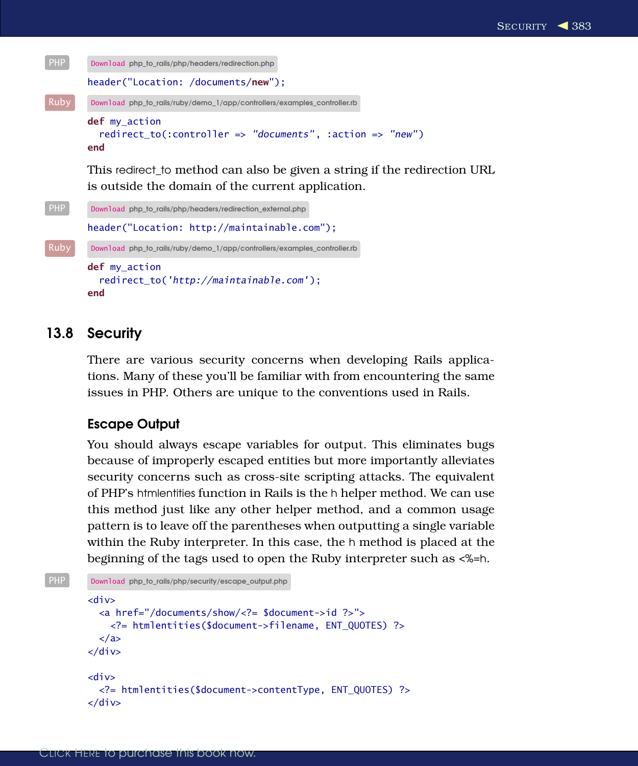

This redirect\_to method can also be given a string if the redirection URL is outside the domain of the current application.

```
php_to_rails/php/headers/redirection_external.php
        header("Location: http://maintainable.com");
Ruby Download php_to_rails/ruby/demo_1/app/controllers/examples_controller.rb
        def my action
          redirect_to('http://maintainable.com');
        end
```
## 13.8 Security

There are various security concerns when developing Rails applications. Many of these you'll be familiar with from encountering the same issues in PHP. Others are unique to the conventions used in Rails.

### Escape Output

You should always escape variables for output. This eliminates bugs because of improperly escaped entities but more importantly alleviates security concerns such as cross-site scripting attacks. The equivalent of PHP's htmlentities function in Rails is the h helper method. We can use this method just like any other helper method, and a common usage pattern is to leave off the parentheses when outputting a single variable within the Ruby interpreter. In this case, the h method is placed at the beginning of the tags used to open the Ruby interpreter such as <%=h.

```
php_to_rails/php/security/escape_output.php
```

```
<div>
  <a href="/documents/show/<?= $document->id ?>">
    <?= htmlentities($document->filename, ENT_QUOTES) ?>
  </a>
\langlediv\rangle<div>
  <?= htmlentities($document->contentType, ENT_QUOTES) ?>
\langlediv\rangle
```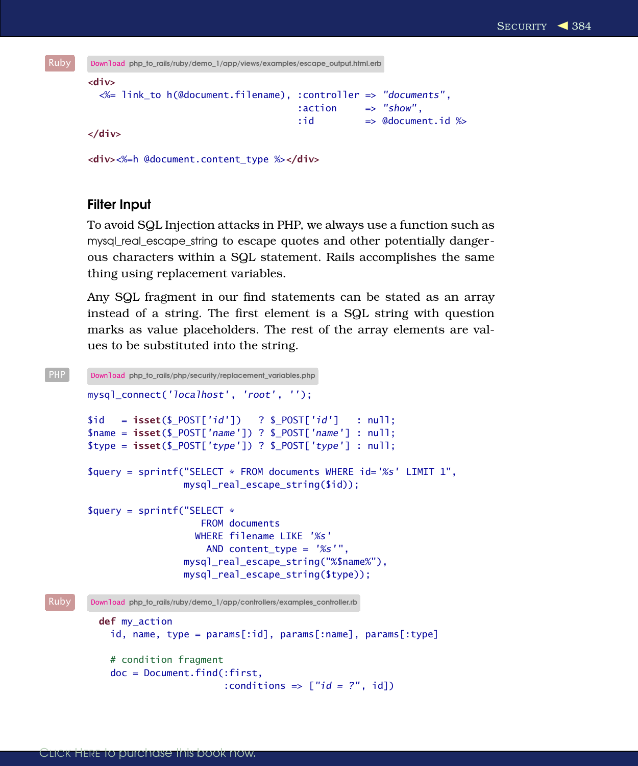```
Ruby Download php_to_rails/ruby/demo_1/app/views/examples/escape_output.html.erb
       <div>
         <%= link_to h(@document.filename), :controller => "documents",
                                               :action => "show",
                                               :id => @document.id %>
       </div>
```
<div><%=h @document.content\_type %></div>

### Filter Input

To avoid SQL Injection attacks in PHP, we always use a function such as mysql real escape string to escape quotes and other potentially dangerous characters within a SQL statement. Rails accomplishes the same thing using replacement variables.

Any SQL fragment in our find statements can be stated as an array instead of a string. The first element is a SQL string with question marks as value placeholders. The rest of the array elements are values to be substituted into the string.

```
php_to_rails/php/security/replacement_variables.php
        mysql_connect('localhost', 'root', '');
        $id = i\texttt{sset}(\$_POST['id']) \quad ? \$_POST['id'] \quad : null;$name = isset($ POST['name']) ? $ POST['name'] : null;
        $type = isset($_POST['type']) ? $_POST['type'] : null;
        \text{Squery} = \text{sprintf("SELECT} * \text{ FROM documents WHERE} id = '%s' \text{ LIMIT 1",}mysql_real_escape_string($id));
        square = sprintf("SELECT *FROM documents
                             WHERE filename LIKE '%s'
                                AND content_type = \frac{1}{6}s'",
                           mysql_real_escape_string("%$name%"),
                           mysql_real_escape_string($type));
Ruby Download php_to_rails/ruby/demo_1/app/controllers/examples_controller.rb
          def my_action
             id, name, type = params[:id], params[:name], params[:type]
             # condition fragment
            doc = Document.find(:first,
                                   :conditions \Rightarrow ["id = ?", id])
```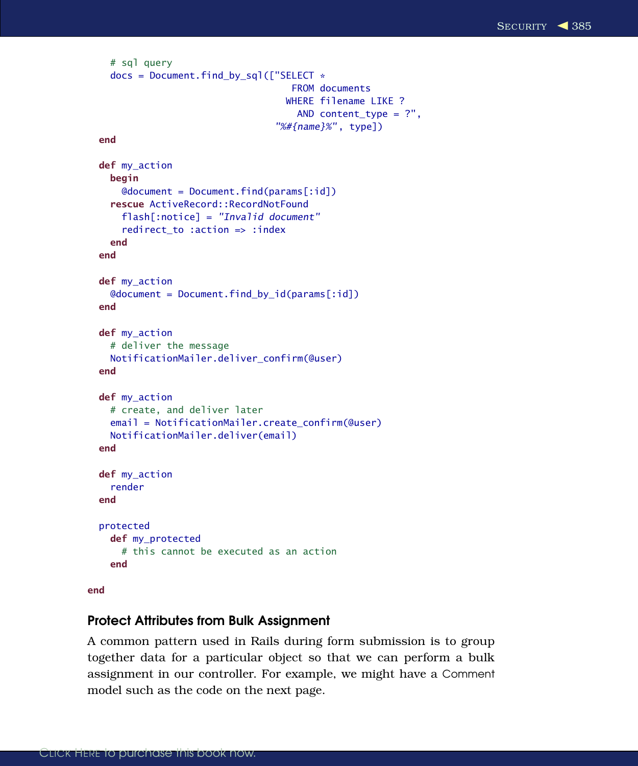```
# sql query
  docs = Document.find_by_sql(["SELECT *
                                  FROM documents
                                 WHERE filename LIKE ?
                                   AND content_type = ?",
                                "%#{name}%", type])
end
def my_action
 begin
    @document = Document.find(params[:id])rescue ActiveRecord::RecordNotFound
    flash[:notice] = "Invalid document"
    redirect_to :action => :index
  end
end
def my_action
 @document = Document.find_by_id(params[:id])
end
def my_action
  # deliver the message
 NotificationMailer.deliver_confirm(@user)
end
def my_action
  # create, and deliver later
  email = NotificationMailer.create_confirm(@user)
 NotificationMailer.deliver(email)
end
def my_action
  render
end
protected
 def my protected
    # this cannot be executed as an action
  end
```
### end

## Protect Attributes from Bulk Assignment

A common pattern used in Rails during form submission is to group together data for a particular object so that we can perform a bulk assignment in our controller. For example, we might have a Comment model such as the code on the next page.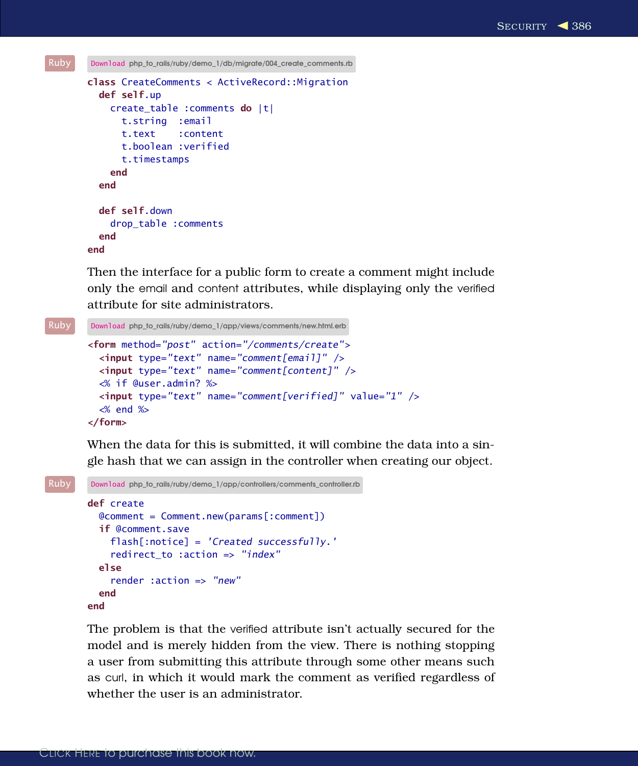```
Ruby Download php_to_rails/ruby/demo_1/db/migrate/004_create_comments.rb
       class CreateComments < ActiveRecord::Migration
         def self.up
           create_table :comments do |t|
             t.string :email
             t.text :content
             t.boolean :verified
             t.timestamps
           end
         end
         def self.down
           drop_table :comments
         end
       end
```
Then the interface for a public form to create a comment might include only the email and content attributes, while displaying only the verified attribute for site administrators.

```
Ruby Download php_to_rails/ruby/demo_1/app/views/comments/new.html.erb
       <form method="post" action="/comments/create">
         <input type="text" name="comment[email]" />
         <input type="text" name="comment[content]" />
         <% if @user.admin? %>
         <input type="text" name="comment[verified]" value="1" />
         <% end %>
       </form>
```
When the data for this is submitted, it will combine the data into a single hash that we can assign in the controller when creating our object.

```
Ruby Download php_to_rails/ruby/demo_1/app/controllers/comments_controller.rb
       def create
         @comment = Comment.new(params[:comment])
          if @comment.save
            flash[:notice] = 'Created successfully.'
            redirect to :action => "index"
         else
            render :action => "new"
         end
       end
```
The problem is that the verified attribute isn't actually secured for the model and is merely hidden from the view. There is nothing stopping a user from submitting this attribute through some other means such as curl, in which it would mark the comment as verified regardless of whether the user is an administrator.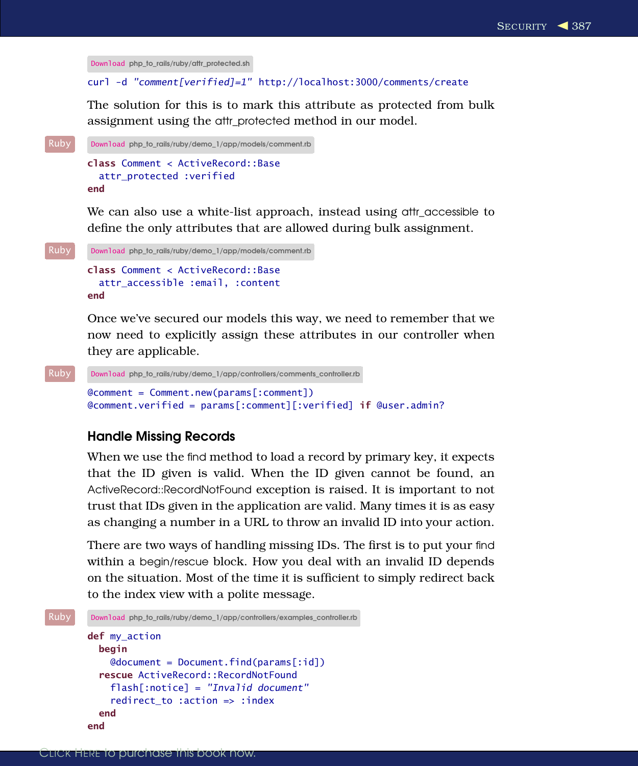```
Download php_to_rails/ruby/attr_protected.sh
curl -d "comment[verified]=1" http://localhost:3000/comments/create
```
The solution for this is to mark this attribute as protected from bulk assignment using the attr\_protected method in our model.

```
Ruby Download php_to_rails/ruby/demo_1/app/models/comment.rb
       class Comment < ActiveRecord::Base
         attr protected :verified
       end
```
We can also use a white-list approach, instead using attr\_accessible to define the only attributes that are allowed during bulk assignment.

```
Ruby Download php_to_rails/ruby/demo_1/app/models/comment.rb
       class Comment < ActiveRecord::Base
         attr_accessible :email, :content
       end
```
Once we've secured our models this way, we need to remember that we now need to explicitly assign these attributes in our controller when they are applicable.

```
Ruby Download php_to_rails/ruby/demo_1/app/controllers/comments_controller.rb
       @comment = Comment.new(params[:comment])
       @comment.verified = params[:comment][:verified] if @user.admin?
```
## Handle Missing Records

When we use the find method to load a record by primary key, it expects that the ID given is valid. When the ID given cannot be found, an ActiveRecord::RecordNotFound exception is raised. It is important to not trust that IDs given in the application are valid. Many times it is as easy as changing a number in a URL to throw an invalid ID into your action.

There are two ways of handling missing IDs. The first is to put your find within a begin/rescue block. How you deal with an invalid ID depends on the situation. Most of the time it is sufficient to simply redirect back to the index view with a polite message.

```
Ruby Download php_to_rails/ruby/demo_1/app/controllers/examples_controller.rb
       def my action
         begin
           @document = Document.find(params[:id])rescue ActiveRecord::RecordNotFound
            flash[:notice] = "Invalid document"
            redirect to :action => :index
         end
       end
```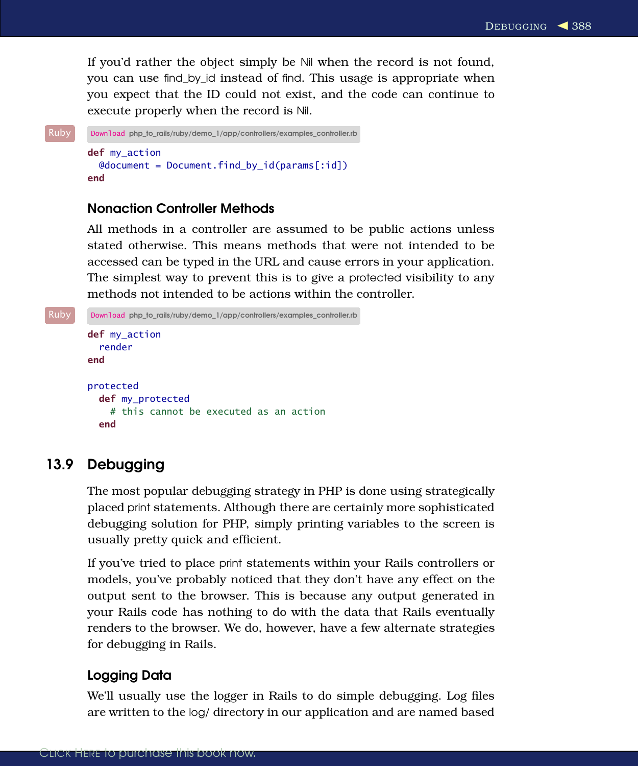If you'd rather the object simply be Nil when the record is not found, you can use find\_by\_id instead of find. This usage is appropriate when you expect that the ID could not exist, and the code can continue to execute properly when the record is Nil.

```
Ruby Download php_to_rails/ruby/demo_1/app/controllers/examples_controller.rb
        def my_action
          @document = Document.find_by_id(params[:id])
        end
```
## Nonaction Controller Methods

All methods in a controller are assumed to be public actions unless stated otherwise. This means methods that were not intended to be accessed can be typed in the URL and cause errors in your application. The simplest way to prevent this is to give a protected visibility to any methods not intended to be actions within the controller.

```
Ruby Download php_to_rails/ruby/demo_1/app/controllers/examples_controller.rb
       def my_action
          render
       end
       protected
          def my_protected
            # this cannot be executed as an action
          end
```
## 13.9 Debugging

The most popular debugging strategy in PHP is done using strategically placed print statements. Although there are certainly more sophisticated debugging solution for PHP, simply printing variables to the screen is usually pretty quick and efficient.

If you've tried to place print statements within your Rails controllers or models, you've probably noticed that they don't have any effect on the output sent to the browser. This is because any output generated in your Rails code has nothing to do with the data that Rails eventually renders to the browser. We do, however, have a few alternate strategies for debugging in Rails.

## Logging Data

We'll usually use the logger in Rails to do simple debugging. Log files are written to the log/ directory in our application and are named based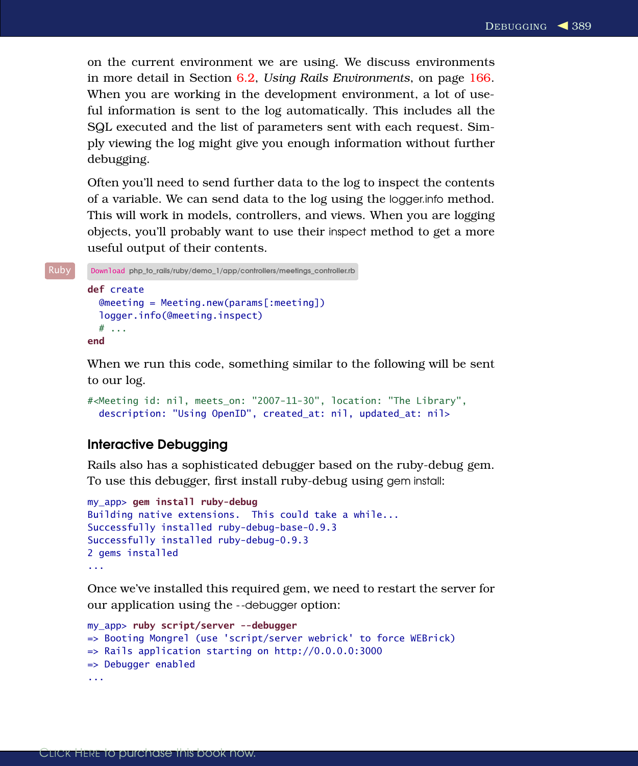on the current environment we are using. We discuss environments in more detail in Section [6.2,](#page--1-0) *Using Rails Environments*, on page [166.](#page--1-0) When you are working in the development environment, a lot of useful information is sent to the log automatically. This includes all the SQL executed and the list of parameters sent with each request. Simply viewing the log might give you enough information without further debugging.

Often you'll need to send further data to the log to inspect the contents of a variable. We can send data to the log using the logger.info method. This will work in models, controllers, and views. When you are logging objects, you'll probably want to use their inspect method to get a more useful output of their contents.

```
Ruby Download php_to_rails/ruby/demo_1/app/controllers/meetings_controller.rb
       def create
          @meeting = Meeting.new(params[:meeting])
          logger.info(@meeting.inspect)
          # ...
       end
```
When we run this code, something similar to the following will be sent to our log.

```
#<Meeting id: nil, meets_on: "2007-11-30", location: "The Library",
  description: "Using OpenID", created_at: nil, updated_at: nil>
```
## Interactive Debugging

Rails also has a sophisticated debugger based on the ruby-debug gem. To use this debugger, first install ruby-debug using gem install:

```
my_app> gem install ruby-debug
Building native extensions. This could take a while...
Successfully installed ruby-debug-base-0.9.3
Successfully installed ruby-debug-0.9.3
2 gems installed
...
```
Once we've installed this required gem, we need to restart the server for our application using the - -debugger option:

```
my_app> ruby script/server --debugger
=> Booting Mongrel (use 'script/server webrick' to force WEBrick)
\Rightarrow Rails application starting on http://0.0.0.0:3000
=> Debugger enabled
...
```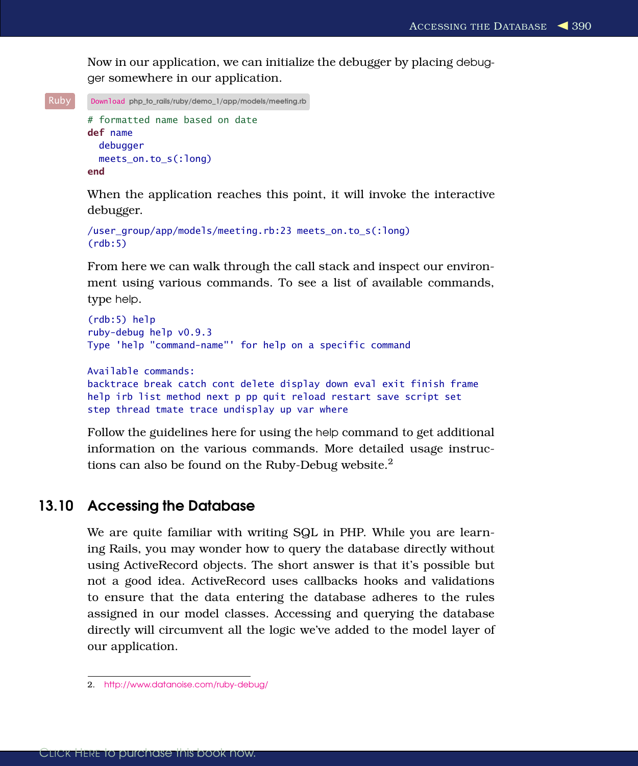Now in our application, we can initialize the debugger by placing debugger somewhere in our application.

```
Ruby Download php_to_rails/ruby/demo_1/app/models/meeting.rb
       # formatted name based on date
       def name
         debugger
         meets_on.to_s(:long)
       end
```
When the application reaches this point, it will invoke the interactive debugger.

```
/user_group/app/models/meeting.rb:23 meets_on.to_s(:long)
(rdb:5)
```
From here we can walk through the call stack and inspect our environment using various commands. To see a list of available commands, type help.

```
(rdb:5) help
ruby-debug help v0.9.3
Type 'help "command-name"' for help on a specific command
Available commands:
backtrace break catch cont delete display down eval exit finish frame
help irb list method next p pp quit reload restart save script set
```
step thread tmate trace undisplay up var where

Follow the guidelines here for using the help command to get additional information on the various commands. More detailed usage instructions can also be found on the Ruby-Debug website.<sup>2</sup>

## 13.10 Accessing the Database

We are quite familiar with writing SQL in PHP. While you are learning Rails, you may wonder how to query the database directly without using ActiveRecord objects. The short answer is that it's possible but not a good idea. ActiveRecord uses callbacks hooks and validations to ensure that the data entering the database adheres to the rules assigned in our model classes. Accessing and querying the database directly will circumvent all the logic we've added to the model layer of our application.

<sup>2.</sup> <http://www.datanoise.com/ruby-debug/>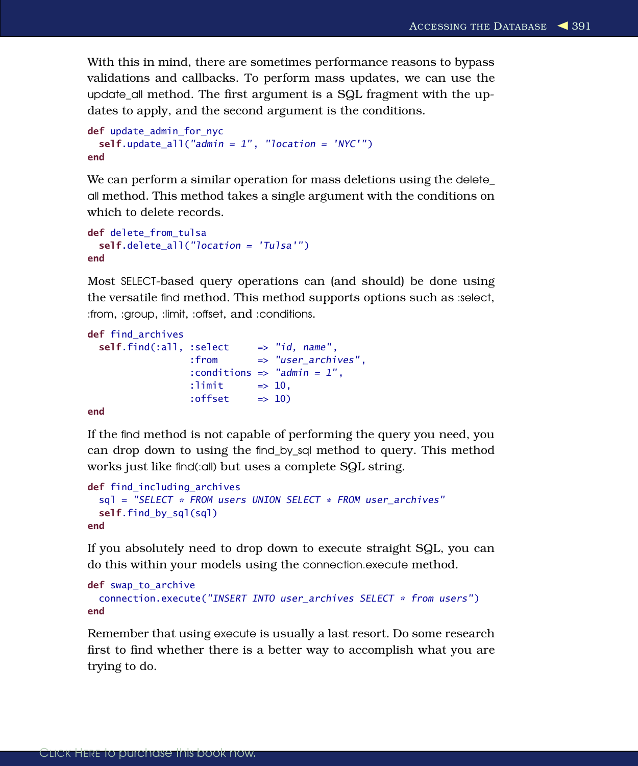With this in mind, there are sometimes performance reasons to bypass validations and callbacks. To perform mass updates, we can use the update\_all method. The first argument is a SQL fragment with the updates to apply, and the second argument is the conditions.

```
def update_admin_for_nyc
  self.update all("admin = 1", "location = 'NYC'")
end
```
We can perform a similar operation for mass deletions using the delete\_ all method. This method takes a single argument with the conditions on which to delete records.

```
def delete from tulsa
  self.delete_all("location = 'Tulsa'")
end
```
Most SELECT-based query operations can (and should) be done using the versatile find method. This method supports options such as :select, :from, :group, :limit, :offset, and :conditions.

```
def find archives
  self.find(:all.:select => "id, name",
                  :from => "user_archives",
                  : conditions \Rightarrow "admin = 1",
                  :\limit \Rightarrow 10.
                  : offset = > 10)
```
#### end

If the find method is not capable of performing the query you need, you can drop down to using the find\_by\_sql method to query. This method works just like find(:all) but uses a complete SQL string.

```
def find including archives
  sql = "SELECT * FROM users UNION SELECT * FROM user_archives"
 self.find by sql(sql)
end
```
If you absolutely need to drop down to execute straight SQL, you can do this within your models using the connection.execute method.

```
def swap_to_archive
  connection.execute("INSERT INTO user_archives SELECT * from users")
end
```
Remember that using execute is usually a last resort. Do some research first to find whether there is a better way to accomplish what you are trying to do.